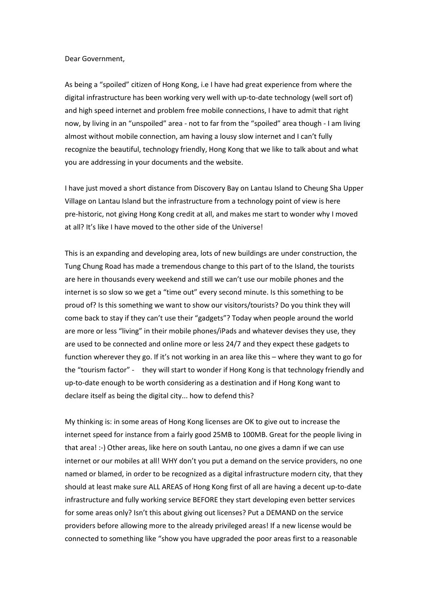## Dear Government,

As being a "spoiled" citizen of Hong Kong, i.e I have had great experience from where the digital infrastructure has been working very well with up-to-date technology (well sort of) and high speed internet and problem free mobile connections, I have to admit that right now, by living in an "unspoiled" area - not to far from the "spoiled" area though - I am living almost without mobile connection, am having a lousy slow internet and I can't fully recognize the beautiful, technology friendly, Hong Kong that we like to talk about and what you are addressing in your documents and the website.

I have just moved a short distance from Discovery Bay on Lantau Island to Cheung Sha Upper Village on Lantau Island but the infrastructure from a technology point of view is here pre-historic, not giving Hong Kong credit at all, and makes me start to wonder why I moved at all? It's like I have moved to the other side of the Universe!

This is an expanding and developing area, lots of new buildings are under construction, the Tung Chung Road has made a tremendous change to this part of to the Island, the tourists are here in thousands every weekend and still we can't use our mobile phones and the internet is so slow so we get a "time out" every second minute. Is this something to be proud of? Is this something we want to show our visitors/tourists? Do you think they will come back to stay if they can't use their "gadgets"? Today when people around the world are more or less "living" in their mobile phones/iPads and whatever devises they use, they are used to be connected and online more or less 24/7 and they expect these gadgets to function wherever they go. If it's not working in an area like this – where they want to go for the "tourism factor" - they will start to wonder if Hong Kong is that technology friendly and up-to-date enough to be worth considering as a destination and if Hong Kong want to declare itself as being the digital city... how to defend this?

My thinking is: in some areas of Hong Kong licenses are OK to give out to increase the internet speed for instance from a fairly good 25MB to 100MB. Great for the people living in that area! :-) Other areas, like here on south Lantau, no one gives a damn if we can use internet or our mobiles at all! WHY don't you put a demand on the service providers, no one named or blamed, in order to be recognized as a digital infrastructure modern city, that they should at least make sure ALL AREAS of Hong Kong first of all are having a decent up-to-date infrastructure and fully working service BEFORE they start developing even better services for some areas only? Isn't this about giving out licenses? Put a DEMAND on the service providers before allowing more to the already privileged areas! If a new license would be connected to something like "show you have upgraded the poor areas first to a reasonable